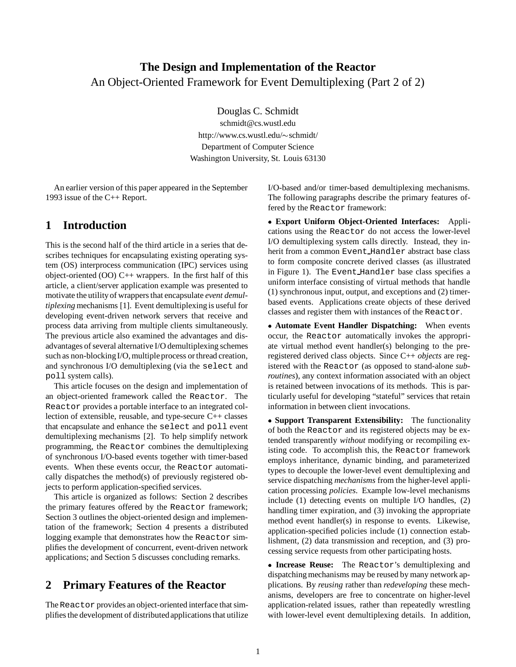# **The Design and Implementation of the Reactor** An Object-Oriented Framework for Event Demultiplexing (Part 2 of 2)

Douglas C. Schmidt

schmidt@cs.wustl.edu http://www.cs.wustl.edu/~schmidt/ Department of Computer Science Washington University, St. Louis 63130

An earlier version of this paper appeared in the September 1993 issue of the C++ Report.

## **1 Introduction**

This is the second half of the third article in a series that describes techniques for encapsulating existing operating system (OS) interprocess communication (IPC) services using object-oriented  $(OO)$  C++ wrappers. In the first half of this article, a client/server application example was presented to motivate the utilityof wrappers that encapsulate *event demultiplexing* mechanisms [1]. Event demultiplexing is useful for developing event-driven network servers that receive and process data arriving from multiple clients simultaneously. The previous article also examined the advantages and disadvantages of several alternative I/O demultiplexing schemes such as non-blocking I/O, multiple process or thread creation, and synchronous I/O demultiplexing (via the select and poll system calls).

This article focuses on the design and implementation of an object-oriented framework called the Reactor. The Reactor provides a portable interface to an integrated collection of extensible, reusable, and type-secure C++ classes that encapsulate and enhance the select and poll event demultiplexing mechanisms [2]. To help simplify network programming, the Reactor combines the demultiplexing of synchronous I/O-based events together with timer-based events. When these events occur, the Reactor automatically dispatches the method(s) of previously registered objects to perform application-specified services.

This article is organized as follows: Section 2 describes the primary features offered by the Reactor framework; Section 3 outlines the object-oriented design and implementation of the framework; Section 4 presents a distributed logging example that demonstrates how the Reactor simplifies the development of concurrent, event-driven network applications; and Section 5 discusses concluding remarks.

## **2 Primary Features of the Reactor**

The Reactor provides an object-oriented interface that simplifies the development of distributedapplications that utilize I/O-based and/or timer-based demultiplexing mechanisms. The following paragraphs describe the primary features offered by the Reactor framework:

 **Export Uniform Object-Oriented Interfaces:** Applications using the Reactor do not access the lower-level I/O demultiplexing system calls directly. Instead, they inherit from a common Event Handler abstract base class to form composite concrete derived classes (as illustrated in Figure 1). The Event Handler base class specifies a uniform interface consisting of virtual methods that handle (1) synchronous input, output, and exceptions and (2) timerbased events. Applications create objects of these derived classes and register them with instances of the Reactor.

 **Automate Event Handler Dispatching:** When events occur, the Reactor automatically invokes the appropriate virtual method event handler(s) belonging to the preregistered derived class objects. Since C++ *objects* are registered with the Reactor (as opposed to stand-alone *subroutines*), any context information associated with an object is retained between invocations of its methods. This is particularly useful for developing "stateful" services that retain information in between client invocations.

 **Support Transparent Extensibility:** The functionality of both the Reactor and its registered objects may be extended transparently *without* modifying or recompiling existing code. To accomplish this, the Reactor framework employs inheritance, dynamic binding, and parameterized types to decouple the lower-level event demultiplexing and service dispatching *mechanisms* from the higher-level application processing *policies*. Example low-level mechanisms include (1) detecting events on multiple I/O handles, (2) handling timer expiration, and (3) invoking the appropriate method event handler(s) in response to events. Likewise, application-specified policies include (1) connection establishment, (2) data transmission and reception, and (3) processing service requests from other participating hosts.

 **Increase Reuse:** The Reactor's demultiplexing and dispatching mechanisms may be reused by many network applications. By *reusing* rather than *redeveloping* these mechanisms, developers are free to concentrate on higher-level application-related issues, rather than repeatedly wrestling with lower-level event demultiplexing details. In addition,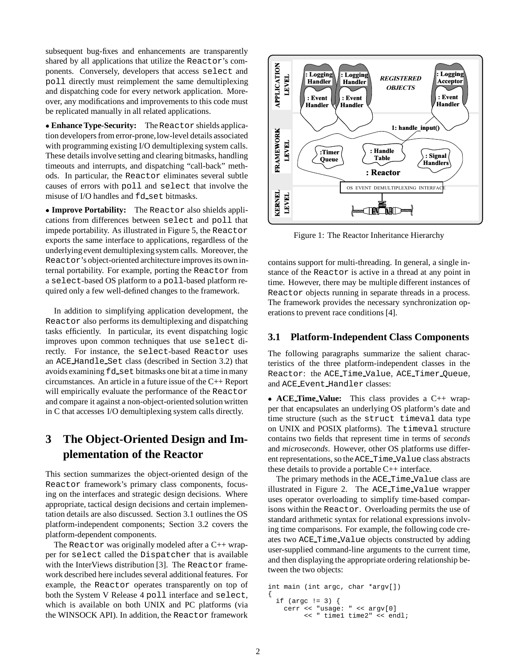subsequent bug-fixes and enhancements are transparently shared by all applications that utilize the Reactor's components. Conversely, developers that access select and poll directly must reimplement the same demultiplexing and dispatching code for every network application. Moreover, any modifications and improvements to this code must be replicated manually in all related applications.

 **Enhance Type-Security:** The Reactor shields application developers from error-prone,low-level details associated with programming existing I/O demultiplexing system calls. These details involve setting and clearing bitmasks, handling timeouts and interrupts, and dispatching "call-back" methods. In particular, the Reactor eliminates several subtle causes of errors with poll and select that involve the misuse of I/O handles and fd\_set bitmasks.

 **Improve Portability:** The Reactor also shields applications from differences between select and poll that impede portability. As illustrated in Figure 5, the Reactor exports the same interface to applications, regardless of the underlying event demultiplexingsystem calls. Moreover, the Reactor's object-oriented architecture improves its own internal portability. For example, porting the Reactor from a select-based OS platform to a poll-based platform required only a few well-defined changes to the framework.

In addition to simplifying application development, the Reactor also performs its demultiplexing and dispatching tasks efficiently. In particular, its event dispatching logic improves upon common techniques that use select directly. For instance, the select-based Reactor uses an ACE Handle Set class (described in Section 3.2) that avoids examining fd\_set bitmasks one bit at a time in many circumstances. An article in a future issue of the C++ Report will empirically evaluate the performance of the Reactor and compare it against a non-object-oriented solution written in C that accesses I/O demultiplexing system calls directly.

# **3 The Object-Oriented Design and Implementation of the Reactor**

This section summarizes the object-oriented design of the Reactor framework's primary class components, focusing on the interfaces and strategic design decisions. Where appropriate, tactical design decisions and certain implementation details are also discussed. Section 3.1 outlines the OS platform-independent components; Section 3.2 covers the platform-dependent components.

The Reactor was originally modeled after a  $C_{++}$  wrapper for select called the Dispatcher that is available with the InterViews distribution [3]. The Reactor framework described here includes several additional features. For example, the Reactor operates transparently on top of both the System V Release 4 poll interface and select, which is available on both UNIX and PC platforms (via the WINSOCK API). In addition, the Reactor framework



Figure 1: The Reactor Inheritance Hierarchy

contains support for multi-threading. In general, a single instance of the Reactor is active in a thread at any point in time. However, there may be multiple different instances of Reactor objects running in separate threads in a process. The framework provides the necessary synchronization operations to prevent race conditions [4].

### **3.1 Platform-Independent Class Components**

The following paragraphs summarize the salient characteristics of the three platform-independent classes in the Reactor: the ACE Time Value, ACE Timer Queue, and ACE Event Handler classes:

 **ACE Time Value:** This class provides a C++ wrapper that encapsulates an underlying OS platform's date and time structure (such as the struct timeval data type on UNIX and POSIX platforms). The timeval structure contains two fields that represent time in terms of *seconds* and *microseconds*. However, other OS platforms use different representations, so the ACE Time Value class abstracts these details to provide a portable C++ interface.

The primary methods in the ACE Time Value class are illustrated in Figure 2. The ACE Time Value wrapper uses operator overloading to simplify time-based comparisons within the Reactor. Overloading permits the use of standard arithmetic syntax for relational expressions involving time comparisons. For example, the following code creates two ACE Time Value objects constructed by adding user-supplied command-line arguments to the current time, and then displaying the appropriate ordering relationship between the two objects:

```
int main (int argc, char *argv[])
{
 if (argc != 3) {
    cerr << "usage: " << argv[0]
         << " time1 time2" << endl;
```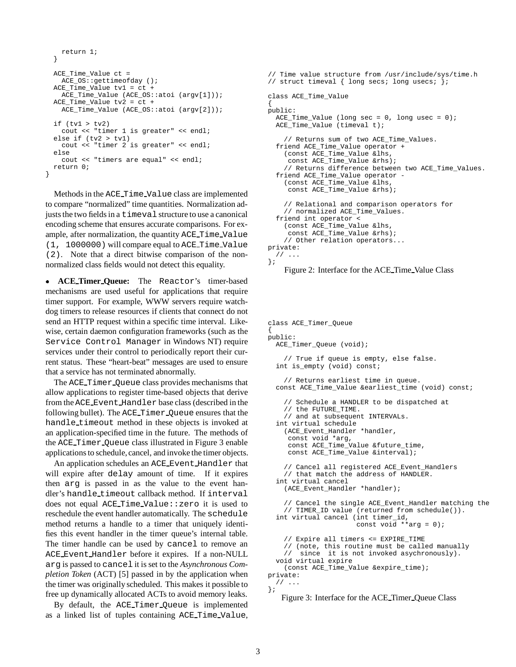```
return 1;
}
ACE_Time_Value ct =
 ACE OS:: qettimeofday ();
ACE_Time_Value tv1 = ct +
  ACE_Time_Value (ACE_OS::atoi (argv[1]));
ACE_Time_Value tv2 = ct +
 ACE_Time_Value (ACE_OS::atoi (argv[2]));
if (tv1 > tv2)cout << "timer 1 is greater" << endl;
else if (tv2 > tv1)
  cout << "timer 2 is greater" << endl;
else
  cout << "timers are equal" << endl;
return 0;
```
}

Methods in the ACE Time Value class are implemented to compare "normalized" time quantities. Normalization adjusts the two fields in a timeval structure to use a canonical encoding scheme that ensures accurate comparisons. For example, after normalization, the quantity ACE Time Value (1, 1000000) will compare equal to ACE Time Value (2). Note that a direct bitwise comparison of the nonnormalized class fields would not detect this equality.

 **ACE Timer Queue:** The Reactor's timer-based mechanisms are used useful for applications that require timer support. For example, WWW servers require watchdog timers to release resources if clients that connect do not send an HTTP request within a specific time interval. Likewise, certain daemon configuration frameworks (such as the Service Control Manager in Windows NT) require services under their control to periodically report their current status. These "heart-beat" messages are used to ensure that a service has not terminated abnormally.

The ACE Timer Queue class provides mechanisms that allow applications to register time-based objects that derive from the ACE Event Handler base class (described in the following bullet). The ACE Timer Queue ensures that the handle timeout method in these objects is invoked at an application-specified time in the future. The methods of the ACE Timer Queue class illustrated in Figure 3 enable applications to schedule, cancel, and invoke the timer objects.

An application schedules an ACE Event Handler that will expire after delay amount of time. If it expires then arg is passed in as the value to the event handler's handle timeout callback method. If interval does not equal ACE Time Value::zero it is used to reschedule the event handler automatically. The schedule method returns a handle to a timer that uniquely identifies this event handler in the timer queue's internal table. The timer handle can be used by cancel to remove an ACE Event Handler before it expires. If a non-NULL arg is passed to cancel it is set to the *Asynchronous Completion Token* (ACT) [5] passed in by the application when the timer was originally scheduled. This makes it possible to free up dynamically allocated ACTs to avoid memory leaks.

By default, the ACE Timer Queue is implemented as a linked list of tuples containing ACE Time Value,

```
// Time value structure from /usr/include/sys/time.h
// struct timeval { long secs; long usecs; \};
class ACE_Time_Value
{
public:
 ACE_Time_Value (long sec = 0, long usec = 0);
  ACE Time Value (timeval t);
    // Returns sum of two ACE_Time_Values.
  friend ACE_Time_Value operator +
    (const ACE_Time_Value &lhs,
     const ACE_Time_Value &rhs);
    // Returns difference between two ACE_Time_Values.
  friend ACE_Time_Value operator -
    (const ACE_Time_Value &lhs,
     const ACE_Time_Value &rhs);
    // Relational and comparison operators for
    // normalized ACE_Time_Values.
  friend int operator <
    (const ACE_Time_Value &lhs,
     const ACE_Time_Value &rhs);
    // Other relation operators...
private:
  // ...
};
```

```
Figure 2: Interface for the ACE Time Value Class
```

```
class ACE_Timer_Queue
{
public:
 ACE_Timer_Queue (void);
    // True if queue is empty, else false.
  int is_empty (void) const;
    // Returns earliest time in queue.
  const ACE_Time_Value &earliest_time (void) const;
    // Schedule a HANDLER to be dispatched at
    // the FUTURE_TIME.
    // and at subsequent INTERVALs.
  int virtual schedule
    (ACE_Event_Handler *handler,
    const void *arg,
     const ACE_Time_Value &future_time,
     const ACE_Time_Value &interval);
    // Cancel all registered ACE_Event_Handlers
    // that match the address of HANDLER.
  int virtual cancel
    (ACE_Event_Handler *handler);
    // Cancel the single ACE_Event_Handler matching the
    // TIMER_ID value (returned from schedule()).
  int virtual cancel (int timer_id,
                      const void **arg = 0);
    // Expire all timers <= EXPIRE_TIME
    // (note, this routine must be called manually
    // since it is not invoked asychronously).
  void virtual expire
    (const ACE_Time_Value &expire_time);
private:
 // ...
};
```
Figure 3: Interface for the ACE Timer Queue Class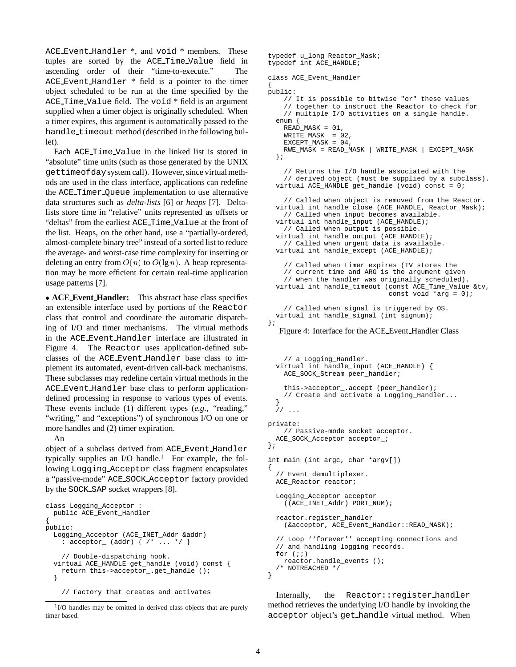ACE Event Handler \*, and void \* members. These tuples are sorted by the ACE Time Value field in ascending order of their "time-to-execute." The ACE Event Handler \* field is a pointer to the timer object scheduled to be run at the time specified by the ACE Time Value field. The void \* field is an argument supplied when a timer object is originally scheduled. When a timer expires, this argument is automatically passed to the handle timeout method (described in the following bullet).

Each ACE Time Value in the linked list is stored in "absolute" time units (such as those generated by the UNIX gettimeofdaysystem call). However, since virtual methods are used in the class interface, applications can redefine the ACE Timer Queue implementation to use alternative data structures such as *delta-lists* [6] or *heaps* [7]. Deltalists store time in "relative" units represented as offsets or "deltas" from the earliest ACE Time Value at the front of the list. Heaps, on the other hand, use a "partially-ordered, almost-complete binary tree" instead of a sorted list to reduce the average- and worst-case time complexity for inserting or deleting an entry from  $O(n)$  to  $O(\lg n)$ . A heap representation may be more efficient for certain real-time application usage patterns [7].

 **ACE Event Handler:** This abstract base class specifies an extensible interface used by portions of the Reactor class that control and coordinate the automatic dispatching of I/O and timer mechanisms. The virtual methods in the ACE Event Handler interface are illustrated in Figure 4. The Reactor uses application-defined subclasses of the ACE Event Handler base class to implement its automated, event-driven call-back mechanisms. These subclasses may redefine certain virtual methods in the ACE Event Handler base class to perform applicationdefined processing in response to various types of events. These events include (1) different types (*e.g.,* "reading," "writing," and "exceptions") of synchronous I/O on one or more handles and (2) timer expiration.

An

timer-based.

object of a subclass derived from ACE Event Handler typically supplies an I/O handle.<sup>1</sup> For example, the following Logging Acceptor class fragment encapsulates a "passive-mode" ACE SOCK Acceptor factory provided by the SOCK SAP socket wrappers [8].

```
class Logging_Acceptor :
  public ACE_Event_Handler
{
public:
  Logging_Acceptor (ACE_INET_Addr &addr)
    : acceptor_{\_} (addr) \{ /* \ldots * / \}// Double-dispatching hook.
  virtual ACE_HANDLE get_handle (void) const {
    return this->acceptor_.get_handle ();
  }
    // Factory that creates and activates
```

```
<sup>1</sup>I/O handles may be omitted in derived class objects that are purely
```

```
typedef u_long Reactor_Mask;
typedef int ACE_HANDLE;
class ACE_Event_Handler
{
public:
    // It is possible to bitwise "or" these values
    // together to instruct the Reactor to check for
   // multiple I/O activities on a single handle.
 enum {
   READ_MASK = 01,
    WRITE_MASK = 02,
   EXCEPT_MASK = 04,
   RWE_MASK = READ_MASK | WRITE_MASK | EXCEPT_MASK
 };
    // Returns the I/O handle associated with the
    // derived object (must be supplied by a subclass).
 virtual ACE_HANDLE get_handle (void) const = 0;
    // Called when object is removed from the Reactor.
 virtual int handle_close (ACE_HANDLE, Reactor_Mask);
    // Called when input becomes available.
 virtual int handle_input (ACE_HANDLE);
    // Called when output is possible.
 virtual int handle_output (ACE_HANDLE);
    // Called when urgent data is available.
 virtual int handle_except (ACE_HANDLE);
    // Called when timer expires (TV stores the
    // current time and ARG is the argument given
    // when the handler was originally scheduled).
 virtual int handle_timeout (const ACE_Time_Value &tv,
                              const void *arg = 0);
    // Called when signal is triggered by OS.
 virtual int handle_signal (int signum);
};
  Figure 4: Interface for the ACE Event Handler Class
    // a Logging_Handler.
 virtual int handle_input (ACE_HANDLE) {
   ACE_SOCK_Stream peer_handler;
    this->acceptor_.accept (peer_handler);
    // Create and activate a Logging_Handler...
  }
 // ...
private:
    // Passive-mode socket acceptor.
 ACE_SOCK_Acceptor acceptor_;
};
int main (int argc, char *argv[])
{
  // Event demultiplexer.
 ACE_Reactor reactor;
 Logging_Acceptor acceptor
    ((ACE_INET_Addr) PORT_NUM);
 reactor.register_handler
    (&acceptor, ACE_Event_Handler::READ_MASK);
 // Loop ''forever'' accepting connections and
  // and handling logging records.
 for (i; j)reactor.handle_events ();
  /* NOTREACHED */
}
```
Internally, the Reactor::register\_handler method retrieves the underlying I/O handle by invoking the acceptor object's get handle virtual method. When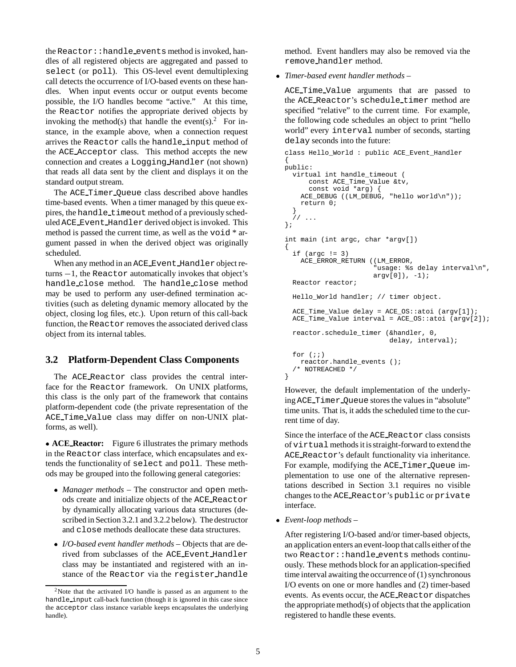the Reactor::handle events method is invoked, handles of all registered objects are aggregated and passed to select (or poll). This OS-level event demultiplexing call detects the occurrence of I/O-based events on these handles. When input events occur or output events become possible, the I/O handles become "active." At this time, the Reactor notifies the appropriate derived objects by invoking the method(s) that handle the event(s).<sup>2</sup> For instance, in the example above, when a connection request arrives the Reactor calls the handle input method of the ACE Acceptor class. This method accepts the new connection and creates a Logging Handler (not shown) that reads all data sent by the client and displays it on the standard output stream.

The ACE Timer Queue class described above handles time-based events. When a timer managed by this queue expires, the handle\_timeout method of a previously scheduled ACE Event Handler derived object is invoked. This method is passed the current time, as well as the void \* argument passed in when the derived object was originally scheduled.

When any method in an ACE\_Event\_Handler object re $turns - 1$ , the Reactor automatically invokes that object's handle close method. The handle close method may be used to perform any user-defined termination activities (such as deleting dynamic memory allocated by the object, closing log files, etc.). Upon return of this call-back function, the Reactor removes the associated derived class object from its internal tables.

### **3.2 Platform-Dependent Class Components**

The ACE Reactor class provides the central interface for the Reactor framework. On UNIX platforms, this class is the only part of the framework that contains platform-dependent code (the private representation of the ACE Time Value class may differ on non-UNIX platforms, as well).

 **ACE Reactor:** Figure 6 illustrates the primary methods in the Reactor class interface, which encapsulates and extends the functionality of select and poll. These methods may be grouped into the following general categories:

- *Manager methods* The constructor and open methods create and initialize objects of the ACE Reactor by dynamically allocating various data structures (described in Section 3.2.1 and 3.2.2 below). The destructor and close methods deallocate these data structures.
- *I/O-based event handler methods* Objects that are derived from subclasses of the ACE Event Handler class may be instantiated and registered with an instance of the Reactor via the register handle

method. Event handlers may also be removed via the remove handler method.

*Timer-based event handler methods* –

ACE Time Value arguments that are passed to the ACE Reactor's schedule timer method are specified "relative" to the current time. For example, the following code schedules an object to print "hello world" every interval number of seconds, starting delay seconds into the future:

```
class Hello_World : public ACE_Event_Handler
{
public:
  virtual int handle_timeout (
      const ACE_Time_Value &tv,
      const void *arg) {
    ACE_DEBUG ((LM_DEBUG, "hello world\n"));
    return 0;
  }
     // ...
};
int main (int argc, char *argv[])
{
  if (\text{argc} != 3)ACE_ERROR_RETURN ((LM_ERROR,
                       "usage: %s delay interval\n",
                       argv[0], -1);
  Reactor reactor;
  Hello_World handler; // timer object.
  ACE_Time_Value delay = ACE_OS::atoi (argv[1]);
  ACE_Time_Value interval = ACE_OS::atoi (argv[2]);
  reactor.schedule_timer (&handler, 0,
                           delay, interval);
  for (i; j)reactor.handle_events ();
  /* NOTREACHED */
}
```
However, the default implementation of the underlying ACE Timer Queue stores the values in "absolute" time units. That is, it adds the scheduled time to the current time of day.

Since the interface of the ACE Reactor class consists of virtual methods it is straight-forward to extend the ACE Reactor's default functionality via inheritance. For example, modifying the ACE Timer Queue implementation to use one of the alternative representations described in Section 3.1 requires no visible changes to the ACE Reactor's public or private interface.

*Event-loop methods* –

After registering I/O-based and/or timer-based objects, an application enters an event-loop that calls either of the two Reactor::handle events methods continuously. These methods block for an application-specified time interval awaiting the occurrence of (1) synchronous I/O events on one or more handles and (2) timer-based events. As events occur, the ACE Reactor dispatches the appropriate method(s) of objects that the application registered to handle these events.

 $2$ Note that the activated I/O handle is passed as an argument to the handle input call-back function (though it is ignored in this case since the acceptor class instance variable keeps encapsulates the underlying handle).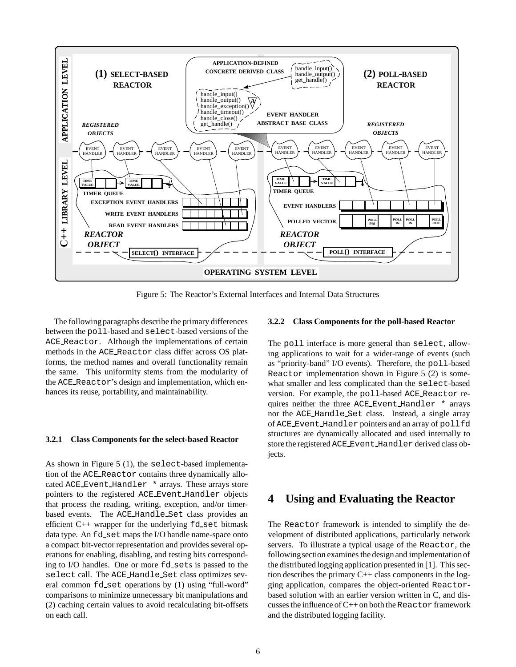

Figure 5: The Reactor's External Interfaces and Internal Data Structures

The following paragraphs describe the primary differences between the poll-based and select-based versions of the ACE Reactor. Although the implementations of certain methods in the ACE Reactor class differ across OS platforms, the method names and overall functionality remain the same. This uniformity stems from the modularity of the ACE Reactor's design and implementation, which enhances its reuse, portability, and maintainability.

#### **3.2.1 Class Components for the select-based Reactor**

As shown in Figure 5 (1), the select-based implementation of the ACE Reactor contains three dynamically allocated ACE Event Handler \* arrays. These arrays store pointers to the registered ACE Event Handler objects that process the reading, writing, exception, and/or timerbased events. The ACE Handle Set class provides an efficient  $C_{++}$  wrapper for the underlying  $Ed$  set bitmask data type. An fd\_set maps the I/O handle name-space onto a compact bit-vector representation and provides several operations for enabling, disabling, and testing bits corresponding to I/O handles. One or more fd\_sets is passed to the select call. The ACE Handle Set class optimizes several common fd set operations by (1) using "full-word" comparisons to minimize unnecessary bit manipulations and (2) caching certain values to avoid recalculating bit-offsets on each call.

#### **3.2.2 Class Components for the poll-based Reactor**

The poll interface is more general than select, allowing applications to wait for a wider-range of events (such as "priority-band" I/O events). Therefore, the poll-based Reactor implementation shown in Figure 5 (2) is somewhat smaller and less complicated than the select-based version. For example, the poll-based ACE Reactor requires neither the three ACE Event Handler \* arrays nor the ACE Handle Set class. Instead, a single array of ACE Event Handler pointers and an array of pollfd structures are dynamically allocated and used internally to store the registered ACE Event Handler derived class objects.

## **4 Using and Evaluating the Reactor**

The Reactor framework is intended to simplify the development of distributed applications, particularly network servers. To illustrate a typical usage of the Reactor, the following section examines the design and implementation of the distributed logging application presented in [1]. This section describes the primary  $C++$  class components in the logging application, compares the object-oriented Reactorbased solution with an earlier version written in C, and discusses the influence of C++ on both the Reactor framework and the distributed logging facility.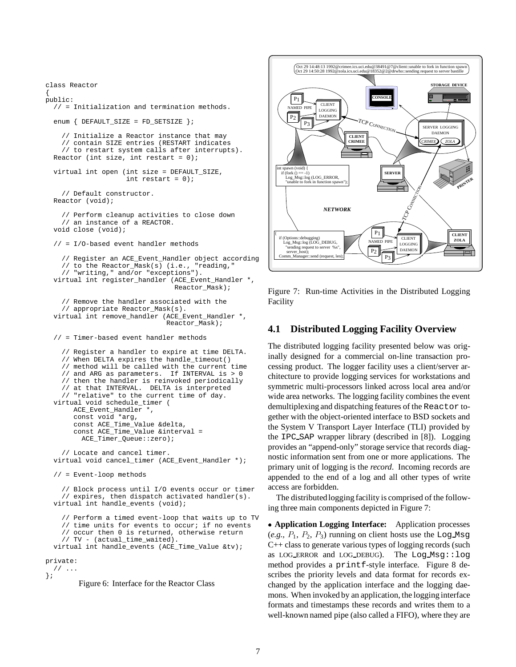```
class Reactor
{
public:
  // = Initialization and termination methods.
  enum { DEFAULT_SIZE = FD_SETSIZE };
    // Initialize a Reactor instance that may
    // contain SIZE entries (RESTART indicates
    // to restart system calls after interrupts).
  Reactor (int size, int restart = 0);
  virtual int open (int size = DEFAULT_SIZE,
                    int restart = 0);
    // Default constructor.
  Reactor (void);
    // Perform cleanup activities to close down
    // an instance of a REACTOR.
  void close (void);
  // = I/O-based event handler methods
    // Register an ACE_Event_Handler object according
    // to the Reactor_Mask(s) (i.e., "reading,"
    // "writing," and/or "exceptions").
  virtual int register_handler (ACE_Event_Handler *,
                                Reactor_Mask);
    // Remove the handler associated with the
    // appropriate Reactor_Mask(s).
  virtual int remove_handler (ACE_Event_Handler *,
                              Reactor_Mask);
  // = Timer-based event handler methods
    // Register a handler to expire at time DELTA.
    // When DELTA expires the handle_timeout()
    // method will be called with the current time
    // and ARG as parameters. If INTERVAL is > 0
    // then the handler is reinvoked periodically
    // at that INTERVAL. DELTA is interpreted
    // "relative" to the current time of day.
  virtual void schedule_timer (
       ACE Event Handler *,
       const void *arg,
       const ACE_Time_Value &delta,
       const ACE_Time_Value &interval =
         ACE_Timer_Queue::zero);
    // Locate and cancel timer.
  virtual void cancel_timer (ACE_Event_Handler *);
  // = Event-loop methods
    // Block process until I/O events occur or timer
    // expires, then dispatch activated handler(s).
  virtual int handle_events (void);
    // Perform a timed event-loop that waits up to TV
    // time units for events to occur; if no events
    // occur then 0 is returned, otherwise return
    // TV - (actual_time_waited).
  virtual int handle_events (ACE_Time_Value &tv);
private:
  1/ ...
};
        Figure 6: Interface for the Reactor Class
```


Figure 7: Run-time Activities in the Distributed Logging Facility

### **4.1 Distributed Logging Facility Overview**

The distributed logging facility presented below was originally designed for a commercial on-line transaction processing product. The logger facility uses a client/server architecture to provide logging services for workstations and symmetric multi-processors linked across local area and/or wide area networks. The logging facility combines the event demultiplexing and dispatching features of the Reactor together with the object-oriented interface to BSD sockets and the System V Transport Layer Interface (TLI) provided by the IPC SAP wrapper library (described in [8]). Logging provides an "append-only" storage service that records diagnostic information sent from one or more applications. The primary unit of logging is the *record*. Incoming records are appended to the end of a log and all other types of write access are forbidden.

The distributedlogging facility is comprised of the following three main components depicted in Figure 7:

 **Application Logging Interface:** Application processes  $(e.g., P<sub>1</sub>, P<sub>2</sub>, P<sub>3</sub>)$  running on client hosts use the Log Msg C++ class to generate various types of logging records (such as LOG ERROR and LOG DEBUG). The Log Msg::log method provides a printf-style interface. Figure 8 describes the priority levels and data format for records exchanged by the application interface and the logging daemons. When invoked by an application, the logging interface formats and timestamps these records and writes them to a well-known named pipe (also called a FIFO), where they are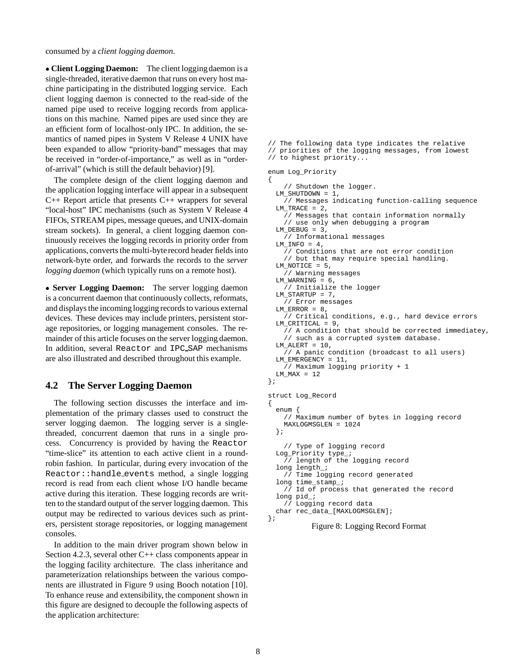consumed by a *client logging daemon*.

• Client Logging Daemon: The client logging daemon is a single-threaded, iterative daemon that runs on every host machine participating in the distributed logging service. Each client logging daemon is connected to the read-side of the named pipe used to receive logging records from applications on this machine. Named pipes are used since they are an efficient form of localhost-only IPC. In addition, the semantics of named pipes in System V Release 4 UNIX have been expanded to allow "priority-band" messages that may be received in "order-of-importance," as well as in "orderof-arrival" (which is still the default behavior) [9].

The complete design of the client logging daemon and the application logging interface will appear in a subsequent C++ Report article that presents C++ wrappers for several "local-host" IPC mechanisms (such as System V Release 4 FIFOs, STREAM pipes, message queues, and UNIX-domain stream sockets). In general, a client logging daemon continuously receives the logging records in priority order from applications, converts the multi-byterecord header fields into network-byte order, and forwards the records to the *server logging daemon* (which typically runs on a remote host).

 **Server Logging Daemon:** The server logging daemon is a concurrent daemon that continuously collects, reformats, and displays the incoming logging records to various external devices. These devices may include printers, persistent storage repositories, or logging management consoles. The remainder of this article focuses on the server logging daemon. In addition, several Reactor and IPC SAP mechanisms are also illustrated and described throughout this example.

### **4.2 The Server Logging Daemon**

The following section discusses the interface and implementation of the primary classes used to construct the server logging daemon. The logging server is a singlethreaded, concurrent daemon that runs in a single process. Concurrency is provided by having the Reactor "time-slice" its attention to each active client in a roundrobin fashion. In particular, during every invocation of the Reactor::handle events method, a single logging record is read from each client whose I/O handle became active during this iteration. These logging records are written to the standard output of the server logging daemon. This output may be redirected to various devices such as printers, persistent storage repositories, or logging management consoles.

In addition to the main driver program shown below in Section 4.2.3, several other C++ class components appear in the logging facility architecture. The class inheritance and parameterization relationships between the various components are illustrated in Figure 9 using Booch notation [10]. To enhance reuse and extensibility, the component shown in this figure are designed to decouple the following aspects of the application architecture:

```
// The following data type indicates the relative
// priorities of the logging messages, from lowest
// to highest priority...
```

```
enum Log_Priority
```

```
{
    // Shutdown the logger.
 LM_SHUTDOWN = 1,
    // Messages indicating function-calling sequence
 LM_TRACE = 2,
   // Messages that contain information normally
    // use only when debugging a program
 LM DEBUG = 3.
    // Informational messages
 LM INFO = 4,
    // Conditions that are not error condition
    // but that may require special handling.
 LM_NOTICE = 5,
    // Warning messages
 LM_WARNING = 6,
   // Initialize the logger
 LM_STARTUP = 7,
    // Error messages
 LM\_ERROR = 8,
    // Critical conditions, e.g., hard device errors
 LM_CRITICAL = 9,
   // A condition that should be corrected immediatey,
    // such as a corrupted system database.
 LM ALERT = 10,
    // A panic condition (broadcast to all users)
 LM_EMERGENCY = 11,
   // Maximum logging priority + 1
 LM MAX = 12
};
struct Log_Record
{
 enum {
    // Maximum number of bytes in logging record
   MAXLOGMSGLEN = 1024
 };
    // Type of logging record
 Log_Priority type_;
   // length of the logging record
  long length_;
    // Time logging record generated
 long time_stamp_;
    // Id of process that generated the record
 long pid_;
    // Logging record data
 char rec_data_[MAXLOGMSGLEN];
```

```
};
```
Figure 8: Logging Record Format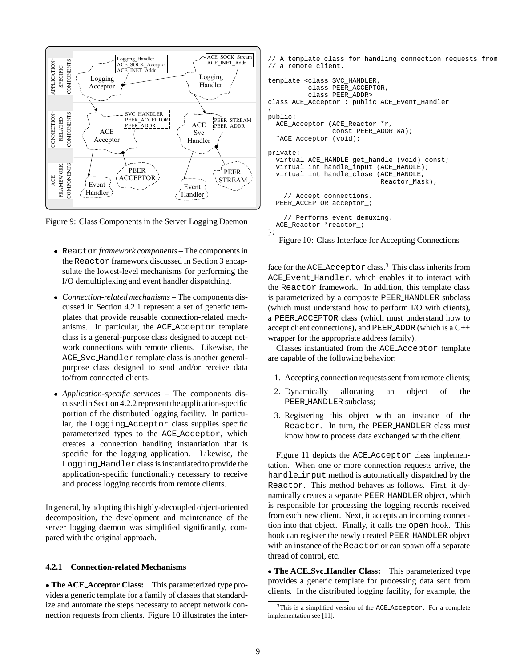

Figure 9: Class Components in the Server Logging Daemon

- Reactor *framework components* The components in the Reactor framework discussed in Section 3 encapsulate the lowest-level mechanisms for performing the I/O demultiplexing and event handler dispatching.
- *Connection-related mechanisms* The components discussed in Section 4.2.1 represent a set of generic templates that provide reusable connection-related mechanisms. In particular, the ACE Acceptor template class is a general-purpose class designed to accept network connections with remote clients. Likewise, the ACE Svc Handler template class is another generalpurpose class designed to send and/or receive data to/from connected clients.
- *Application-specific services* The components discussed in Section 4.2.2 represent the application-specific portion of the distributed logging facility. In particular, the Logging Acceptor class supplies specific parameterized types to the ACE Acceptor, which creates a connection handling instantiation that is specific for the logging application. Likewise, the Logging Handler class is instantiated to provide the application-specific functionality necessary to receive and process logging records from remote clients.

In general, by adopting this highly-decoupledobject-oriented decomposition, the development and maintenance of the server logging daemon was simplified significantly, compared with the original approach.

#### **4.2.1 Connection-related Mechanisms**

 **The ACE Acceptor Class:** This parameterized type provides a generic template for a family of classes that standardize and automate the steps necessary to accept network connection requests from clients. Figure 10 illustrates the inter-

```
// A template class for handling connection requests from
// a remote client.
template <class SVC_HANDLER,
          class PEER_ACCEPTOR,
          class PEER_ADDR>
class ACE_Acceptor : public ACE_Event_Handler
{
public:
 ACE_Acceptor (ACE_Reactor *r,
                const PEER_ADDR &a);
  ˜ACE_Acceptor (void);
private:
 virtual ACE_HANDLE get_handle (void) const;
 virtual int handle_input (ACE_HANDLE);
 virtual int handle_close (ACE_HANDLE,
                            Reactor_Mask);
    // Accept connections.
  PEER_ACCEPTOR acceptor_;
    // Performs event demuxing.
 ACE Reactor *reactor ;
```
# };

Figure 10: Class Interface for Accepting Connections

face for the ACE\_Acceptor class.<sup>3</sup> This class inherits from ACE Event Handler, which enables it to interact with the Reactor framework. In addition, this template class is parameterized by a composite PEER HANDLER subclass (which must understand how to perform I/O with clients), a PEER ACCEPTOR class (which must understand how to accept client connections), and PEER ADDR (which is a C++ wrapper for the appropriate address family).

Classes instantiated from the ACE Acceptor template are capable of the following behavior:

- 1. Accepting connection requests sent from remote clients;
- 2. Dynamically allocating an object of the PEER HANDLER subclass;
- 3. Registering this object with an instance of the Reactor. In turn, the PEER HANDLER class must know how to process data exchanged with the client.

Figure 11 depicts the ACE Acceptor class implementation. When one or more connection requests arrive, the handle input method is automatically dispatched by the Reactor. This method behaves as follows. First, it dynamically creates a separate PEER HANDLER object, which is responsible for processing the logging records received from each new client. Next, it accepts an incoming connection into that object. Finally, it calls the open hook. This hook can register the newly created PEER HANDLER object with an instance of the Reactor or can spawn off a separate thread of control, etc.

 **The ACE Svc Handler Class:** This parameterized type provides a generic template for processing data sent from clients. In the distributed logging facility, for example, the

 $3$ This is a simplified version of the ACE Acceptor. For a complete implementation see [11].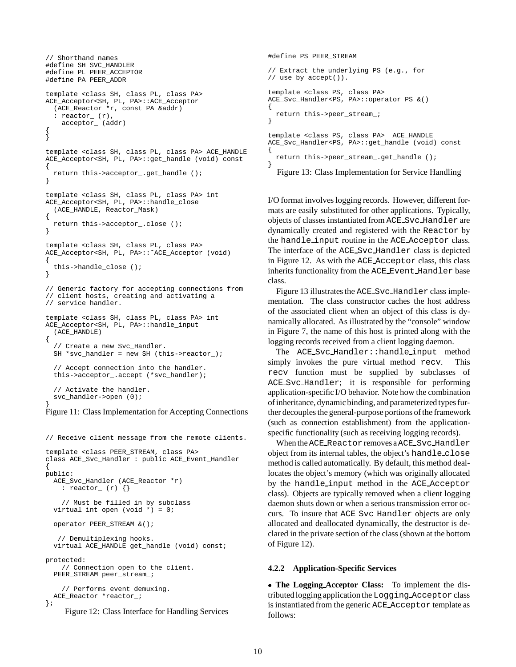```
// Shorthand names
#define SH SVC_HANDLER
#define PL PEER_ACCEPTOR
#define PA PEER_ADDR
template <class SH, class PL, class PA>
ACE_Acceptor<SH, PL, PA>::ACE_Acceptor
  (ACE_Reactor *r, const PA &addr)
  : reactor_ (r),
    acceptor_ (addr)
{
}
template <class SH, class PL, class PA> ACE_HANDLE
ACE_Acceptor<SH, PL, PA>::get_handle (void) const
{
 return this->acceptor_.get_handle ();
}
template <class SH, class PL, class PA> int
ACE_Acceptor<SH, PL, PA>::handle_close
  (ACE_HANDLE, Reactor_Mask)
{
  return this->acceptor_.close ();
}
template <class SH, class PL, class PA>
ACE_Acceptor<SH, PL, PA>::˜ACE_Acceptor (void)
{
 this->handle_close ();
}
// Generic factory for accepting connections from
// client hosts, creating and activating a
// service handler.
template <class SH, class PL, class PA> int
ACE_Acceptor<SH, PL, PA>::handle_input
  (ACE_HANDLE)
{
  // Create a new Svc_Handler.
 SH *svc handler = new SH (this->reactor );
  // Accept connection into the handler.
  this->acceptor_.accept (*svc_handler);
  // Activate the handler.
  svc_handler->open (0);
}
```
Figure 11: Class Implementation for Accepting Connections

```
// Receive client message from the remote clients.
template <class PEER_STREAM, class PA>
class ACE_Svc_Handler : public ACE_Event_Handler
{
public:
 ACE_Svc_Handler (ACE_Reactor *r)
    : reactor_ (r) {}
    // Must be filled in by subclass
 virtual int open (void \overline{\ast}) = 0;
  operator PEER_STREAM &();
   // Demultiplexing hooks.
 virtual ACE_HANDLE get_handle (void) const;
protected:
   // Connection open to the client.
  PEER_STREAM peer_stream_;
    // Performs event demuxing.
 ACE Reactor *reactor ;
};
```
Figure 12: Class Interface for Handling Services

```
#define PS PEER_STREAM
// Extract the underlying PS (e.g., for
// use by accept()).
template <class PS, class PA>
ACE_Svc_Handler<PS, PA>::operator PS &()
{
 return this->peer_stream_;
}
template <class PS, class PA> ACE_HANDLE
ACE_Svc_Handler<PS, PA>::get_handle (void) const
{
  return this->peer_stream_.get_handle ();
}
  Figure 13: Class Implementation for Service Handling
```
I/O format involves logging records. However, different formats are easily substituted for other applications. Typically, objects of classes instantiated from ACE Svc Handler are dynamically created and registered with the Reactor by the handle input routine in the ACE Acceptor class. The interface of the ACE Svc Handler class is depicted in Figure 12. As with the ACE Acceptor class, this class inherits functionality from the ACE Event Handler base class.

Figure 13 illustrates the ACE Svc Handler class implementation. The class constructor caches the host address of the associated client when an object of this class is dynamically allocated. As illustrated by the "console" window in Figure 7, the name of this host is printed along with the logging records received from a client logging daemon.

The ACE Svc Handler::handle input method simply invokes the pure virtual method recv. This recv function must be supplied by subclasses of ACE Svc Handler; it is responsible for performing application-specific I/O behavior. Note how the combination of inheritance, dynamic binding, and parameterized types further decouples the general-purpose portions of the framework (such as connection establishment) from the applicationspecific functionality (such as receiving logging records).

When the ACE\_Reactor removes a ACE\_Svc\_Handler object from its internal tables, the object's handle close method is called automatically. By default, this method deallocates the object's memory (which was originally allocated by the handle input method in the ACE Acceptor class). Objects are typically removed when a client logging daemon shuts down or when a serious transmission error occurs. To insure that ACE Svc Handler objects are only allocated and deallocated dynamically, the destructor is declared in the private section of the class (shown at the bottom of Figure 12).

#### **4.2.2 Application-Specific Services**

 **The Logging Acceptor Class:** To implement the distributed logging application the Logging Acceptor class is instantiated from the generic ACE Acceptor template as follows: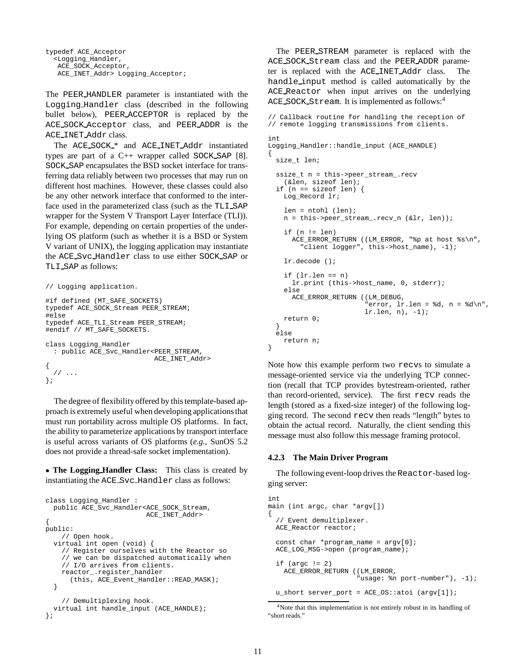```
typedef ACE_Acceptor
  <Logging_Handler,
  ACE_SOCK_Acceptor,
  ACE_INET_Addr> Logging_Acceptor;
```
The PEER HANDLER parameter is instantiated with the Logging Handler class (described in the following bullet below), PEER ACCEPTOR is replaced by the ACE SOCK Acceptor class, and PEER ADDR is the ACE INET Addr class.

The ACE SOCK \* and ACE INET Addr instantiated types are part of a C++ wrapper called SOCK SAP [8]. SOCK SAP encapsulates the BSD socket interface for transferring data reliably between two processes that may run on different host machines. However, these classes could also be any other network interface that conformed to the interface used in the parameterized class (such as the TLI SAP wrapper for the System V Transport Layer Interface (TLI)). For example, depending on certain properties of the underlying OS platform (such as whether it is a BSD or System V variant of UNIX), the logging application may instantiate the ACE Svc Handler class to use either SOCK SAP or TLI SAP as follows:

```
// Logging application.
#if defined (MT_SAFE_SOCKETS)
typedef ACE_SOCK_Stream PEER_STREAM;
#else
typedef ACE_TLI_Stream PEER_STREAM;
#endif // MT_SAFE_SOCKETS.
class Logging_Handler
  : public ACE_Svc_Handler<PEER_STREAM,
                           ACE_INET_Addr>
{
  // \dots};
```
The degree of flexibility offered by this template-based approach is extremely useful when developing applications that must run portability across multiple OS platforms. In fact, the ability to parameterize applications by transport interface is useful across variants of OS platforms (*e.g.,* SunOS 5.2 does not provide a thread-safe socket implementation).

 **The Logging Handler Class:** This class is created by instantiating the ACE Svc Handler class as follows:

```
class Logging_Handler :
  public ACE_Svc_Handler<ACE_SOCK_Stream,
                         ACE_INET_Addr>
{
public:
   // Open hook.
  virtual int open (void) {
    // Register ourselves with the Reactor so
    // we can be dispatched automatically when
    // I/O arrives from clients.
    reactor_.register_handler
      (this, ACE_Event_Handler::READ_MASK);
  }
    // Demultiplexing hook.
  virtual int handle_input (ACE_HANDLE);
};
```
The PEER STREAM parameter is replaced with the ACE SOCK Stream class and the PEER ADDR parameter is replaced with the ACE INET Addr class. The handle input method is called automatically by the ACE Reactor when input arrives on the underlying ACE SOCK Stream. It is implemented as follows:<sup>4</sup>

```
// Callback routine for handling the reception of
// remote logging transmissions from clients.
int
Logging_Handler::handle_input (ACE_HANDLE)
{
 size_t len;
  ssize_t n = this->peer_stream_.recv
    (&len, sizeof len);
  if (n == sizeof len) {
   Log_Record lr;
    len = ntohl (len);
   n = this->peer_stream_.recv_n (&lr, len));
    if (n != len)ACE_ERROR_RETURN ((LM_ERROR, "%p at host %s\n",
        "client logger", this->host_name), -1);
    lr.decode ();
    if (lr.length == n)lr.print (this->host_name, 0, stderr);
    else
      ACE_ERROR_RETURN ((LM_DEBUG,
                        "error, lr.len = %d, n = %d\n",
                        lr.len, n), -1);
    return 0;
  }
  else
    return n;
}
```
Note how this example perform two recvs to simulate a message-oriented service via the underlying TCP connection (recall that TCP provides bytestream-oriented, rather than record-oriented, service). The first recv reads the length (stored as a fixed-size integer) of the following logging record. The second recv then reads "length" bytes to obtain the actual record. Naturally, the client sending this message must also follow this message framing protocol.

#### **4.2.3 The Main Driver Program**

The following event-loop drives the Reactor-based logging server:

```
int
main (int argc, char *argv[])
\left\{ \right.// Event demultiplexer.
  ACE_Reactor reactor;
  const char *program_name = argv[0];
  ACE LOG MSG->open (program name);
  if (argc != 2)
    ACE_ERROR_RETURN ((LM_ERROR,
                        "usage: %n port-number"), -1);
  u_short server_port = ACE_OS::atoi (argv[1]);
```
<sup>&</sup>lt;sup>4</sup>Note that this implementation is not entirely robust in its handling of "short reads."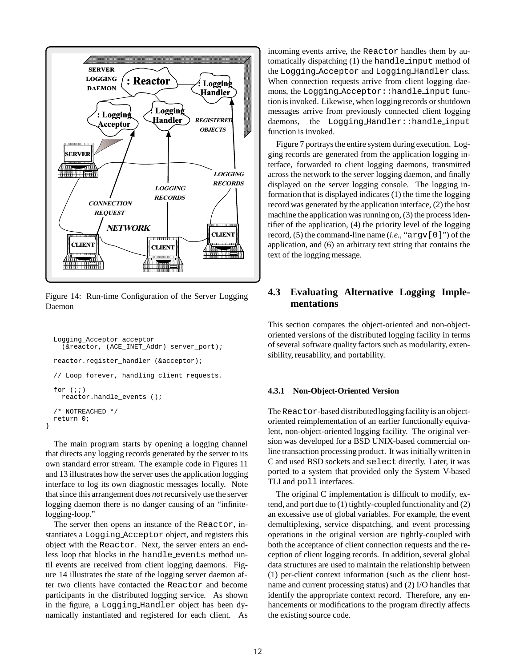

Figure 14: Run-time Configuration of the Server Logging Daemon

```
Logging_Acceptor acceptor
  (&reactor, (ACE_INET_Addr) server_port);
reactor.register_handler (&acceptor);
// Loop forever, handling client requests.
for (i; j)reactor.handle_events ();
/* NOTREACHED */
return 0;
```
}

The main program starts by opening a logging channel that directs any logging records generated by the server to its own standard error stream. The example code in Figures 11 and 13 illustrates how the server uses the application logging interface to log its own diagnostic messages locally. Note that since this arrangement does *not*recursively use the server logging daemon there is no danger causing of an "infinitelogging-loop."

The server then opens an instance of the Reactor, instantiates a Logging Acceptor object, and registers this object with the Reactor. Next, the server enters an endless loop that blocks in the handle events method until events are received from client logging daemons. Figure 14 illustrates the state of the logging server daemon after two clients have contacted the Reactor and become participants in the distributed logging service. As shown in the figure, a Logging Handler object has been dynamically instantiated and registered for each client. As

incoming events arrive, the Reactor handles them by automatically dispatching (1) the handle input method of the Logging Acceptor and Logging Handler class. When connection requests arrive from client logging daemons, the Logging Acceptor::handle input function is invoked. Likewise, when loggingrecords or shutdown messages arrive from previously connected client logging daemons, the Logging Handler::handle\_input function is invoked.

Figure 7 portrays the entire system during execution. Logging records are generated from the application logging interface, forwarded to client logging daemons, transmitted across the network to the server logging daemon, and finally displayed on the server logging console. The logging information that is displayed indicates (1) the time the logging record was generated by the application interface, (2) the host machine the application was running on, (3) the process identifier of the application, (4) the priority level of the logging record, (5) the command-line name (*i.e.,* "argv[0]") of the application, and (6) an arbitrary text string that contains the text of the logging message.

## **4.3 Evaluating Alternative Logging Implementations**

This section compares the object-oriented and non-objectoriented versions of the distributed logging facility in terms of several software quality factors such as modularity, extensibility, reusability, and portability.

#### **4.3.1 Non-Object-Oriented Version**

The Reactor-based distributed logging facility is an objectoriented reimplementation of an earlier functionally equivalent, non-object-oriented logging facility. The original version was developed for a BSD UNIX-based commercial online transaction processing product. It was initially written in C and used BSD sockets and select directly. Later, it was ported to a system that provided only the System V-based TLI and poll interfaces.

The original C implementation is difficult to modify, extend, and port due to  $(1)$  tightly-coupled functionality and  $(2)$ an excessive use of global variables. For example, the event demultiplexing, service dispatching, and event processing operations in the original version are tightly-coupled with both the acceptance of client connection requests and the reception of client logging records. In addition, several global data structures are used to maintain the relationship between (1) per-client context information (such as the client hostname and current processing status) and (2) I/O handles that identify the appropriate context record. Therefore, any enhancements or modifications to the program directly affects the existing source code.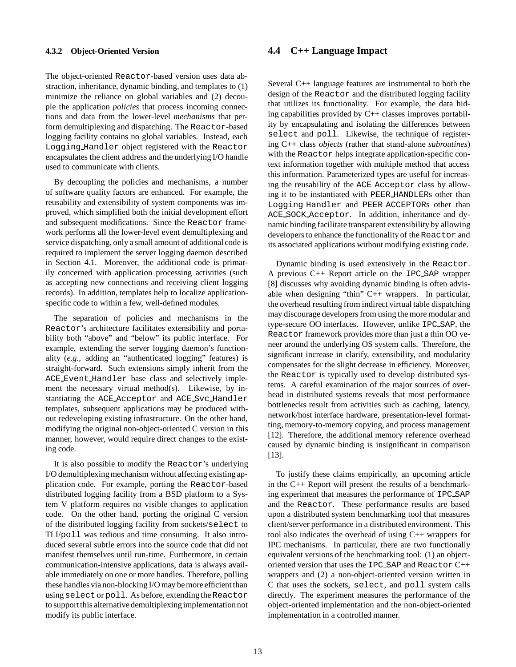#### **4.3.2 Object-Oriented Version**

The object-oriented Reactor-based version uses data abstraction, inheritance, dynamic binding, and templates to (1) minimize the reliance on global variables and (2) decouple the application *policies* that process incoming connections and data from the lower-level *mechanisms* that perform demultiplexing and dispatching. The Reactor-based logging facility contains no global variables. Instead, each Logging Handler object registered with the Reactor encapsulates the client address and the underlying I/O handle used to communicate with clients.

By decoupling the policies and mechanisms, a number of software quality factors are enhanced. For example, the reusability and extensibility of system components was improved, which simplified both the initial development effort and subsequent modifications. Since the Reactor framework performs all the lower-level event demultiplexing and service dispatching, only a small amount of additional code is required to implement the server logging daemon described in Section 4.1. Moreover, the additional code is primarily concerned with application processing activities (such as accepting new connections and receiving client logging records). In addition, templates help to localize applicationspecific code to within a few, well-defined modules.

The separation of policies and mechanisms in the Reactor's architecture facilitates extensibility and portability both "above" and "below" its public interface. For example, extending the server logging daemon's functionality (*e.g.,* adding an "authenticated logging" features) is straight-forward. Such extensions simply inherit from the ACE Event Handler base class and selectively implement the necessary virtual method(s). Likewise, by instantiating the ACE Acceptor and ACE Svc Handler templates, subsequent applications may be produced without redeveloping existing infrastructure. On the other hand, modifying the original non-object-oriented C version in this manner, however, would require direct changes to the existing code.

It is also possible to modify the Reactor's underlying I/O demultiplexing mechanism without affecting existing application code. For example, porting the Reactor-based distributed logging facility from a BSD platform to a System V platform requires no visible changes to application code. On the other hand, porting the original C version of the distributed logging facility from sockets/select to TLI/poll was tedious and time consuming. It also introduced several subtle errors into the source code that did not manifest themselves until run-time. Furthermore, in certain communication-intensive applications, data is always available immediately on one or more handles. Therefore, polling these handles via non-blocking I/O may be more efficient than using select or poll. As before, extending the Reactor to support this alternative demultiplexingimplementationnot modify its public interface.

### **4.4 C++ Language Impact**

Several C++ language features are instrumental to both the design of the Reactor and the distributed logging facility that utilizes its functionality. For example, the data hiding capabilities provided by C++ classes improves portability by encapsulating and isolating the differences between select and poll. Likewise, the technique of registering C++ class *objects* (rather that stand-alone *subroutines*) with the Reactor helps integrate application-specific context information together with multiple method that access this information. Parameterized types are useful for increasing the reusability of the ACE Acceptor class by allowing it to be instantiated with PEER HANDLERs other than Logging Handler and PEER ACCEPTORs other than ACE SOCK Acceptor. In addition, inheritance and dynamic binding facilitate transparent extensibility by allowing developers to enhance the functionality of the Reactor and its associated applications without modifying existing code.

Dynamic binding is used extensively in the Reactor. A previous C++ Report article on the IPC SAP wrapper [8] discusses why avoiding dynamic binding is often advisable when designing "thin" C++ wrappers. In particular, the overhead resulting from indirect virtual table dispatching may discourage developers from using the more modular and type-secure OO interfaces. However, unlike IPC SAP, the Reactor framework provides more than just a thin OO veneer around the underlying OS system calls. Therefore, the significant increase in clarify, extensibility, and modularity compensates for the slight decrease in efficiency. Moreover, the Reactor is typically used to develop distributed systems. A careful examination of the major sources of overhead in distributed systems reveals that most performance bottlenecks result from activities such as caching, latency, network/host interface hardware, presentation-level formatting, memory-to-memory copying, and process management [12]. Therefore, the additional memory reference overhead caused by dynamic binding is insignificant in comparison [13].

To justify these claims empirically, an upcoming article in the C++ Report will present the results of a benchmarking experiment that measures the performance of IPC SAP and the Reactor. These performance results are based upon a distributed system benchmarking tool that measures client/server performance in a distributed environment. This tool also indicates the overhead of using C++ wrappers for IPC mechanisms. In particular, there are two functionally equivalent versions of the benchmarking tool: (1) an objectoriented version that uses the IPC SAP and Reactor C++ wrappers and (2) a non-object-oriented version written in C that uses the sockets, select, and poll system calls directly. The experiment measures the performance of the object-oriented implementation and the non-object-oriented implementation in a controlled manner.